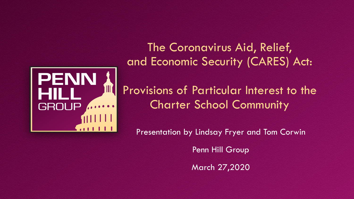

The Coronavirus Aid, Relief, and Economic Security (CARES) Act:

Provisions of Particular Interest to the Charter School Community

Presentation by Lindsay Fryer and Tom Corwin

Penn Hill Group

March 27,2020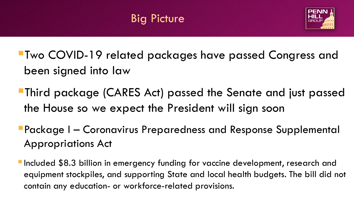## Big Picture



- Two COVID-19 related packages have passed Congress and been signed into law
- Third package (CARES Act) passed the Senate and just passed the House so we expect the President will sign soon
- Package I Coronavirus Preparedness and Response Supplemental Appropriations Act
- Included \$8.3 billion in emergency funding for vaccine development, research and equipment stockpiles, and supporting State and local health budgets. The bill did not contain any education- or workforce-related provisions.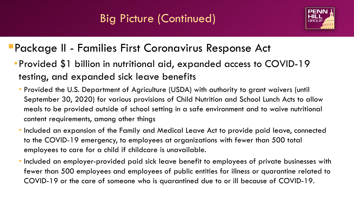## Big Picture (Continued)



#### Package II - Families First Coronavirus Response Act

- •Provided \$1 billion in nutritional aid, expanded access to COVID-19 testing, and expanded sick leave benefits
	- Provided the U.S. Department of Agriculture (USDA) with authority to grant waivers (until September 30, 2020) for various provisions of Child Nutrition and School Lunch Acts to allow meals to be provided outside of school setting in a safe environment and to waive nutritional content requirements, among other things
	- Included an expansion of the Family and Medical Leave Act to provide paid leave, connected to the COVID-19 emergency, to employees at organizations with fewer than 500 total employees to care for a child if childcare is unavailable.
	- Included an employer-provided paid sick leave benefit to employees of private businesses with fewer than 500 employees and employees of public entities for illness or quarantine related to COVID-19 or the care of someone who is quarantined due to or ill because of COVID-19.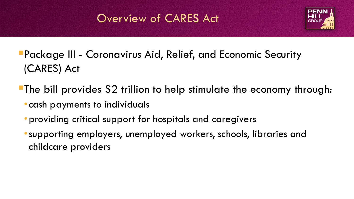## Overview of CARES Act



- Package III Coronavirus Aid, Relief, and Economic Security (CARES) Act
- The bill provides \$2 trillion to help stimulate the economy through:
	- •cash payments to individuals
	- •providing critical support for hospitals and caregivers
	- •supporting employers, unemployed workers, schools, libraries and childcare providers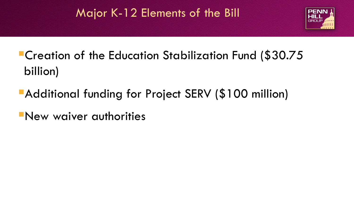## Major K-12 Elements of the Bill



# Creation of the Education Stabilization Fund (\$30.75 billion)

- **Additional funding for Project SERV (\$100 million)**
- New waiver authorities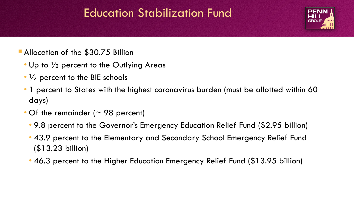#### Education Stabilization Fund



- **Allocation of the \$30.75 Billion** 
	- Up to  $\frac{1}{2}$  percent to the Outlying Areas
	- $\cdot$   $\frac{1}{2}$  percent to the BIE schools
	- 1 percent to States with the highest coronavirus burden (must be allotted within 60 days)
	- Of the remainder ( $\sim$  98 percent)
		- 9.8 percent to the Governor's Emergency Education Relief Fund (\$2.95 billion)
		- 43.9 percent to the Elementary and Secondary School Emergency Relief Fund (\$13.23 billion)
		- 46.3 percent to the Higher Education Emergency Relief Fund (\$13.95 billion)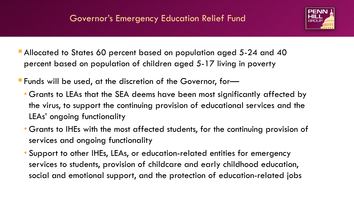

- Allocated to States 60 percent based on population aged 5-24 and 40 percent based on population of children aged 5-17 living in poverty
- Funds will be used, at the discretion of the Governor, for—
	- Grants to LEAs that the SEA deems have been most significantly affected by the virus, to support the continuing provision of educational services and the LEAs' ongoing functionality
	- Grants to IHEs with the most affected students, for the continuing provision of services and ongoing functionality
	- Support to other IHEs, LEAs, or education-related entities for emergency services to students, provision of childcare and early childhood education, social and emotional support, and the protection of education-related jobs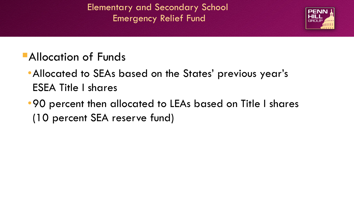Elementary and Secondary School Emergency Relief Fund



## **Allocation of Funds**

- •Allocated to SEAs based on the States' previous year's ESEA Title I shares
- •90 percent then allocated to LEAs based on Title I shares (10 percent SEA reserve fund)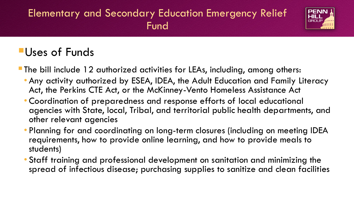#### Elementary and Secondary Education Emergency Relief Fund



## Uses of Funds

- The bill include 12 authorized activities for LEAs, including, among others:
	- Any activity authorized by ESEA, IDEA, the Adult Education and Family Literacy Act, the Perkins CTE Act, or the McKinney-Vento Homeless Assistance Act
	- Coordination of preparedness and response efforts of local educational agencies with State, local, Tribal, and territorial public health departments, and other relevant agencies
	- Planning for and coordinating on long-term closures (including on meeting IDEA requirements, how to provide online learning, and how to provide meals to students)
	- Staff training and professional development on sanitation and minimizing the spread of infectious disease; purchasing supplies to sanitize and clean facilities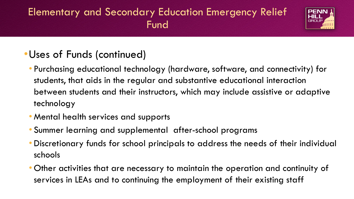#### Elementary and Secondary Education Emergency Relief Fund



#### •Uses of Funds (continued)

- Purchasing educational technology (hardware, software, and connectivity) for students, that aids in the regular and substantive educational interaction between students and their instructors, which may include assistive or adaptive technology
- Mental health services and supports
- Summer learning and supplemental after-school programs
- Discretionary funds for school principals to address the needs of their individual schools
- Other activities that are necessary to maintain the operation and continuity of services in LEAs and to continuing the employment of their existing staff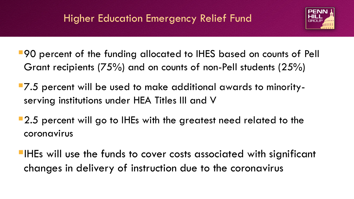

- **90** percent of the funding allocated to IHES based on counts of Pell Grant recipients (75%) and on counts of non-Pell students (25%)
- **7.5** percent will be used to make additional awards to minorityserving institutions under HEA Titles III and V
- **2.5 percent will go to IHEs with the greatest need related to the** coronavirus
- **IHEs will use the funds to cover costs associated with significant** changes in delivery of instruction due to the coronavirus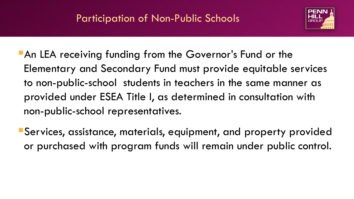

- **An LEA receiving funding from the Governor's Fund or the** Elementary and Secondary Fund must provide equitable services to non-public-school students in teachers in the same manner as provided under ESEA Title I, as determined in consultation with non-public-school representatives.
- Services, assistance, materials, equipment, and property provided or purchased with program funds will remain under public control.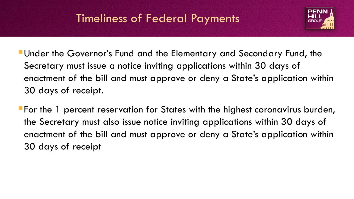## Timeliness of Federal Payments



Under the Governor's Fund and the Elementary and Secondary Fund, the Secretary must issue a notice inviting applications within 30 days of enactment of the bill and must approve or deny a State's application within 30 days of receipt.

For the 1 percent reservation for States with the highest coronavirus burden, the Secretary must also issue notice inviting applications within 30 days of enactment of the bill and must approve or deny a State's application within 30 days of receipt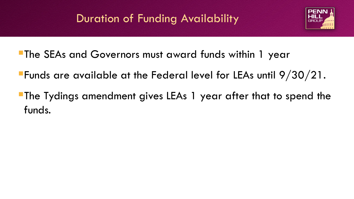## Duration of Funding Availability



- The SEAs and Governors must award funds within 1 year
- Funds are available at the Federal level for LEAs until 9/30/21.
- The Tydings amendment gives LEAs 1 year after that to spend the funds.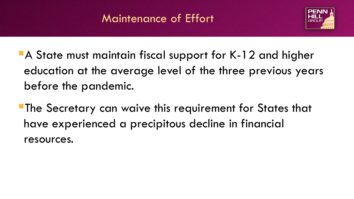## Maintenance of Effort



- A State must maintain fiscal support for K-12 and higher education at the average level of the three previous years before the pandemic.
- **The Secretary can waive this requirement for States that** have experienced a precipitous decline in financial resources.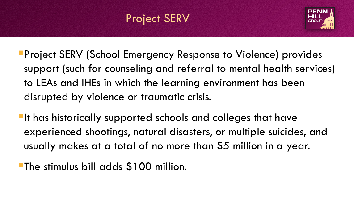

- **Project SERV (School Emergency Response to Violence) provides** support (such for counseling and referral to mental health services) to LEAs and IHEs in which the learning environment has been disrupted by violence or traumatic crisis.
- **If has historically supported schools and colleges that have** experienced shootings, natural disasters, or multiple suicides, and usually makes at a total of no more than \$5 million in a year.
- **The stimulus bill adds \$100 million.**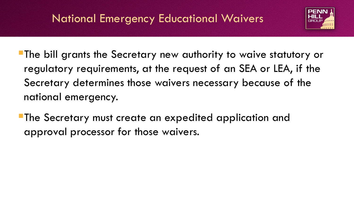## National Emergency Educational Waivers



- The bill grants the Secretary new authority to waive statutory or regulatory requirements, at the request of an SEA or LEA, if the Secretary determines those waivers necessary because of the national emergency.
- The Secretary must create an expedited application and approval processor for those waivers.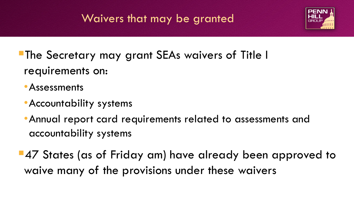## Waivers that may be granted



The Secretary may grant SEAs waivers of Title I requirements on:

- •Assessments
- •Accountability systems
- •Annual report card requirements related to assessments and accountability systems
- **47 States (as of Friday am) have already been approved to** waive many of the provisions under these waivers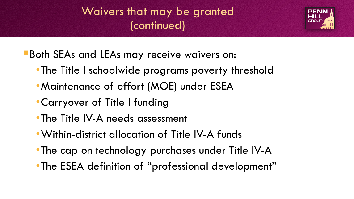## Waivers that may be granted (continued)

**Both SEAs and LEAs may receive waivers on:** 

- •The Title I schoolwide programs poverty threshold
- •Maintenance of effort (MOE) under ESEA
- •Carryover of Title I funding
- •The Title IV-A needs assessment
- •Within-district allocation of Title IV-A funds
- •The cap on technology purchases under Title IV-A
- •The ESEA definition of "professional development"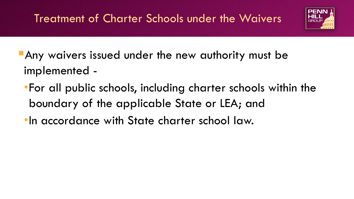

- **Any waivers issued under the new authority must be** implemented -
	- •For all public schools, including charter schools within the boundary of the applicable State or LEA; and
	- •In accordance with State charter school law.